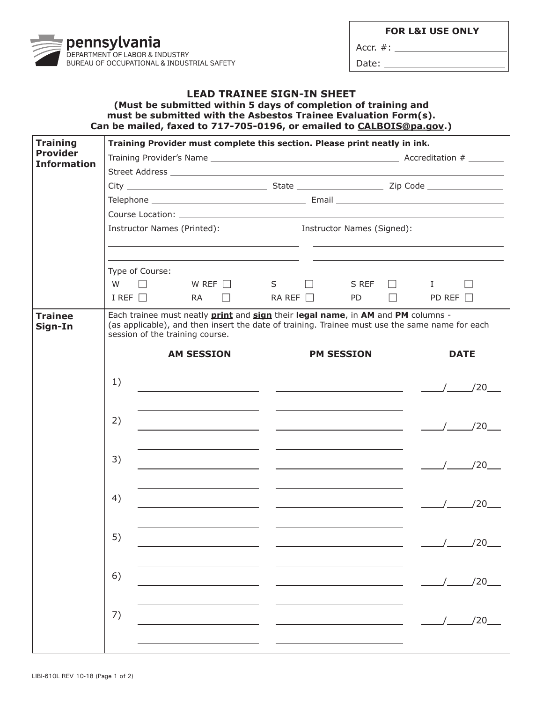|                                    | pennaytrania<br>DEPARTMENT OF LABOR & INDUSTRY<br>BUREAU OF OCCUPATIONAL & INDUSTRIAL SAFETY                                                                                                              |                                   |  |  |
|------------------------------------|-----------------------------------------------------------------------------------------------------------------------------------------------------------------------------------------------------------|-----------------------------------|--|--|
|                                    | (Must be submitted within 5 days of completion of training and<br>must be submitted with the Asbestos Trainee Evaluation Form(s).<br>Can be mailed, faxed to 717-705-0196, or emailed to CALBOIS@pa.gov.) | <b>LEAD TRAINEE SIGN-IN SHEET</b> |  |  |
| <b>Training</b><br><b>Provider</b> | Training Provider must complete this section. Please print neatly in ink.                                                                                                                                 |                                   |  |  |
| <b>Information</b>                 |                                                                                                                                                                                                           |                                   |  |  |
|                                    |                                                                                                                                                                                                           |                                   |  |  |
|                                    |                                                                                                                                                                                                           |                                   |  |  |
|                                    |                                                                                                                                                                                                           |                                   |  |  |
|                                    |                                                                                                                                                                                                           |                                   |  |  |

|                           | Instructor Names (Printed): Instructor Names (Signed): |                                                                                                                                                                                                                                     |                                                                                                                                                                       |                                                 |                                                                                                                        |                 |                   |               |                    |
|---------------------------|--------------------------------------------------------|-------------------------------------------------------------------------------------------------------------------------------------------------------------------------------------------------------------------------------------|-----------------------------------------------------------------------------------------------------------------------------------------------------------------------|-------------------------------------------------|------------------------------------------------------------------------------------------------------------------------|-----------------|-------------------|---------------|--------------------|
|                           |                                                        |                                                                                                                                                                                                                                     | <u> 1989 - Andrea Santa Andrea Andrea Andrea Andrea Andrea Andrea Andrea Andrea Andrea Andrea Andrea Andrea Andr</u>                                                  |                                                 |                                                                                                                        |                 |                   |               |                    |
|                           |                                                        | Type of Course:                                                                                                                                                                                                                     |                                                                                                                                                                       |                                                 |                                                                                                                        |                 |                   |               |                    |
|                           | W                                                      |                                                                                                                                                                                                                                     | $\Box$ WREF $\Box$ S $\Box$                                                                                                                                           |                                                 |                                                                                                                        |                 | $SREF$ $I$        |               | $\Box$             |
|                           |                                                        | I REF $\Box$                                                                                                                                                                                                                        | $RA \Box$                                                                                                                                                             |                                                 | RA REF $\Box$                                                                                                          | PD <sub>2</sub> | $\Box$ and $\Box$ | PD REF $\Box$ |                    |
| <b>Trainee</b><br>Sign-In |                                                        | Each trainee must neatly <b>print</b> and <b>sign</b> their legal name, in AM and PM columns -<br>(as applicable), and then insert the date of training. Trainee must use the same name for each<br>session of the training course. |                                                                                                                                                                       |                                                 |                                                                                                                        |                 |                   |               |                    |
|                           |                                                        |                                                                                                                                                                                                                                     | <b>AM SESSION</b>                                                                                                                                                     |                                                 | <b>PM SESSION</b>                                                                                                      |                 |                   | <b>DATE</b>   |                    |
|                           | 1)                                                     |                                                                                                                                                                                                                                     |                                                                                                                                                                       |                                                 |                                                                                                                        |                 |                   |               |                    |
|                           | 2)                                                     |                                                                                                                                                                                                                                     | <u> 1980 - Johann John Stone, mars et al. (</u> † 1920)                                                                                                               | <u> 1989 - Johann John Stone, mars et al. (</u> |                                                                                                                        |                 |                   |               | $\frac{1}{20}$ /20 |
|                           | 3)                                                     |                                                                                                                                                                                                                                     | <u> 1980 - Jan Barbara Barbara, prima popular popular popular popular popular popular popular popular popular po</u><br><u> 1989 - Johann Stein, fransk politik (</u> |                                                 | <u> 1980 - John Stone, mars and de la partie de la partie de la partie de la partie de la partie de la partie de l</u> |                 |                   |               | $\frac{1}{20}$ /20 |
|                           | 4)                                                     |                                                                                                                                                                                                                                     |                                                                                                                                                                       |                                                 |                                                                                                                        |                 |                   |               |                    |
|                           | 5)                                                     |                                                                                                                                                                                                                                     |                                                                                                                                                                       |                                                 |                                                                                                                        |                 |                   |               |                    |
|                           | 6)                                                     |                                                                                                                                                                                                                                     |                                                                                                                                                                       | <u> Albanya (Albanya Albanya)</u>               |                                                                                                                        |                 |                   |               | $\sqrt{2}$         |
|                           | 7)                                                     |                                                                                                                                                                                                                                     |                                                                                                                                                                       |                                                 |                                                                                                                        |                 |                   |               | /20                |
|                           |                                                        |                                                                                                                                                                                                                                     |                                                                                                                                                                       |                                                 |                                                                                                                        |                 |                   |               |                    |

**FOR L&I USE ONLY**

Accr. #: